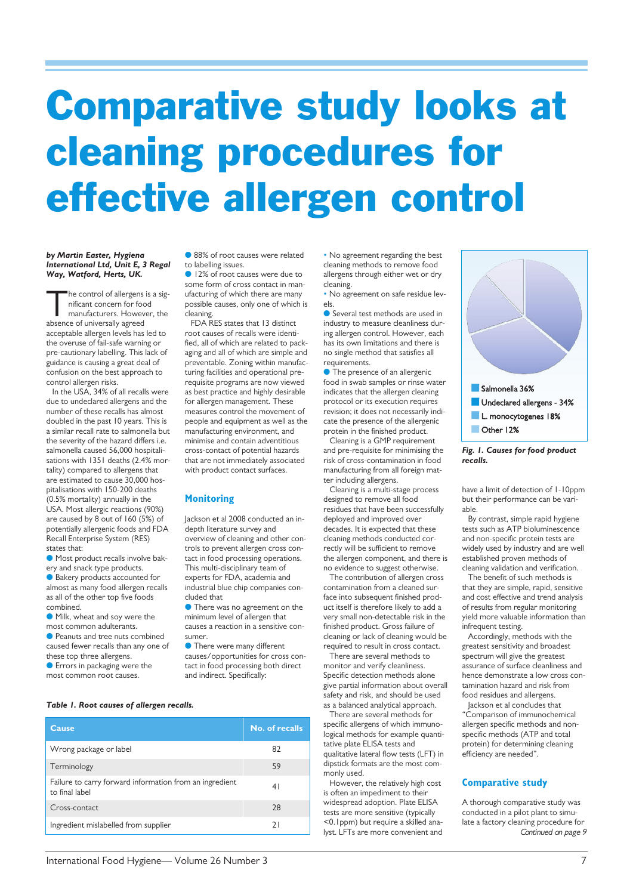# **Comparative study looks at cleaning procedures for effective allergen control**

#### *by Martin Easter, Hygiena International Ltd, Unit E, 3 Regal Way, Watford, Herts, UK.*

he control of allergens is a significant concern for food manufacturers. However, the absence of universally agreed acceptable allergen levels has led to the overuse of fail-safe warning or pre-cautionary labelling. This lack of guidance is causing a great deal of confusion on the best approach to control allergen risks.

In the USA, 34% of all recalls were due to undeclared allergens and the number of these recalls has almost doubled in the past 10 years. This is a similar recall rate to salmonella but the severity of the hazard differs i.e. salmonella caused 56,000 hospitalisations with 1351 deaths (2.4% mortality) compared to allergens that are estimated to cause 30,000 hospitalisations with 150-200 deaths (0.5% mortality) annually in the USA. Most allergic reactions (90%) are caused by 8 out of 160 (5%) of potentially allergenic foods and FDA Recall Enterprise System (RES) states that:

**Most product recalls involve bak**ery and snack type products.

● Bakery products accounted for almost as many food allergen recalls as all of the other top five foods combined.

**Milk**, wheat and soy were the most common adulterants.

● Peanuts and tree nuts combined caused fewer recalls than any one of these top three allergens.

**Errors in packaging were the** most common root causes.

**C** 88% of root causes were related to labelling issues.

l 12% of root causes were due to some form of cross contact in manufacturing of which there are many possible causes, only one of which is cleaning.

FDA RES states that 13 distinct root causes of recalls were identified, all of which are related to packaging and all of which are simple and preventable. Zoning within manufacturing facilities and operational prerequisite programs are now viewed as best practice and highly desirable for allergen management. These measures control the movement of people and equipment as well as the manufacturing environment, and minimise and contain adventitious cross-contact of potential hazards that are not immediately associated with product contact surfaces.

# **Monitoring**

Jackson et al 2008 conducted an indepth literature survey and overview of cleaning and other controls to prevent allergen cross contact in food processing operations. This multi-disciplinary team of experts for FDA, academia and industrial blue chip companies concluded that

**I** There was no agreement on the minimum level of allergen that causes a reaction in a sensitive consumer.

**•** There were many different causes/opportunities for cross contact in food processing both direct and indirect. Specifically:

*Table 1. Root causes of allergen recalls.*

| Cause                                                                     | No. of recalls |
|---------------------------------------------------------------------------|----------------|
| Wrong package or label                                                    | 82             |
| Terminology                                                               | 59             |
| Failure to carry forward information from an ingredient<br>to final label | 41             |
| Cross-contact                                                             | 28             |
| Ingredient mislabelled from supplier                                      | 21             |

• No agreement regarding the best cleaning methods to remove food allergens through either wet or dry cleaning.

> • No agreement on safe residue levels.

> ● Several test methods are used in industry to measure cleanliness during allergen control. However, each has its own limitations and there is no single method that satisfies all requirements.

**• The presence of an allergenic** food in swab samples or rinse water indicates that the allergen cleaning protocol or its execution requires revision; it does not necessarily indicate the presence of the allergenic protein in the finished product.

Cleaning is a GMP requirement and pre-requisite for minimising the risk of cross-contamination in food manufacturing from all foreign matter including allergens.

Cleaning is a multi-stage process designed to remove all food residues that have been successfully deployed and improved over decades. It is expected that these cleaning methods conducted correctly will be sufficient to remove the allergen component, and there is no evidence to suggest otherwise.

The contribution of allergen cross contamination from a cleaned surface into subsequent finished product itself is therefore likely to add a very small non-detectable risk in the finished product. Gross failure of cleaning or lack of cleaning would be required to result in cross contact.

There are several methods to monitor and verify cleanliness. Specific detection methods alone give partial information about overall safety and risk, and should be used as a balanced analytical approach.

There are several methods for specific allergens of which immunological methods for example quantitative plate ELISA tests and qualitative lateral flow tests (LFT) in dipstick formats are the most commonly used.

However, the relatively high cost is often an impediment to their widespread adoption. Plate ELISA tests are more sensitive (typically <0.1ppm) but require a skilled analyst. LFTs are more convenient and



*Fig. 1. Causes for food product recalls.*

have a limit of detection of 1-10ppm but their performance can be variable.

By contrast, simple rapid hygiene tests such as ATP bioluminescence and non-specific protein tests are widely used by industry and are well established proven methods of cleaning validation and verification.

The benefit of such methods is that they are simple, rapid, sensitive and cost effective and trend analysis of results from regular monitoring yield more valuable information than infrequent testing.

Accordingly, methods with the greatest sensitivity and broadest spectrum will give the greatest assurance of surface cleanliness and hence demonstrate a low cross contamination hazard and risk from food residues and allergens.

Jackson et al concludes that "Comparison of immunochemical allergen specific methods and nonspecific methods (ATP and total protein) for determining cleaning efficiency are needed".

### **Comparative study**

A thorough comparative study was conducted in a pilot plant to simulate a factory cleaning procedure for Continued on page 9